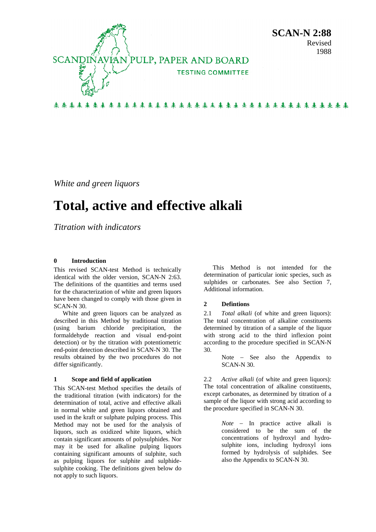

*White and green liquors* 

# **Total, active and effective alkali**

*Titration with indicators* 

### **0 Introduction**

This revised SCAN-test Method is technically identical with the older version, SCAN-N 2:63. The definitions of the quantities and terms used for the characterization of white and green liquors have been changed to comply with those given in SCAN-N 30.

White and green liquors can be analyzed as described in this Method by traditional titration (using barium chloride precipitation, the formaldehyde reaction and visual end-point detection) or by the titration with potentiometric end-point detection described in SCAN-N 30. The results obtained by the two procedures do not differ significantly.

#### **1 Scope and field of application**

This SCAN-test Method specifies the details of the traditional titration (with indicators) for the determination of total, active and effective alkali in normal white and green liquors obtained and used in the kraft or sulphate pulping process. This Method may not be used for the analysis of liquors, such as oxidized white liquors, which contain significant amounts of polysulphides. Nor may it be used for alkaline pulping liquors containing significant amounts of sulphite, such as pulping liquors for sulphite and sulphidesulphite cooking. The definitions given below do not apply to such liquors.

This Method is not intended for the determination of particular ionic species, such as sulphides or carbonates. See also Section 7, Additional information.

## **2 Defintions**

2.1 *Total alkali* (of white and green liquors): The total concentration of alkaline constituents determined by titration of a sample of the liquor with strong acid to the third inflexion point according to the procedure specified in SCAN-N 30.

> Note − See also the Appendix to SCAN-N 30.

2.2 *Active alkali* (of white and green liquors): The total concentration of alkaline constituents, except carbonates, as determined by titration of a sample of the liquor with strong acid according to the procedure specified in SCAN-N 30.

> *Note* − In practice active alkali is considered to be the sum of the concentrations of hydroxyl and hydrosulphite ions, including hydroxyl ions formed by hydrolysis of sulphides. See also the Appendix to SCAN-N 30.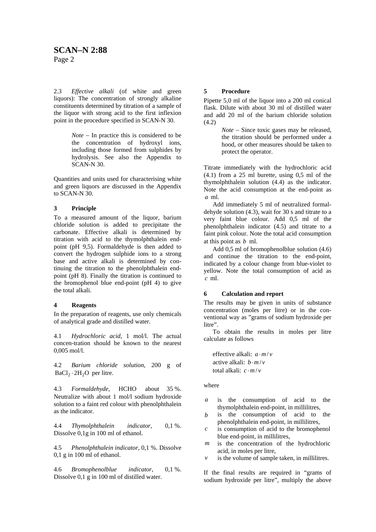2.3 *Effective alkali* (of white and green liquors): The concentration of strongly alkaline constituents determined by titration of a sample of the liquor with strong acid to the first inflexion point in the procedure specified in SCAN-N 30.

> *Note* − In practice this is considered to be the concentration of hydroxyl ions, including those formed from sulphides by hydrolysis. See also the Appendix to SCAN-N 30.

Quantities and units used for characterising white and green liquors are discussed in the Appendix to SCAN-N 30.

#### **3 Principle**

To a measured amount of the liquor, barium chloride solution is added to precipitate the carbonate. Effective alkali is determined by titration with acid to the thymolphthalein endpoint (pH 9,5). Formaldehyde is then added to convert the hydrogen sulphide ions to a strong base and active alkali is determined by continuing the titration to the phenolphthalein endpoint (pH 8). Finally the titration is continued to the bromophenol blue end-point (pH 4) to give the total alkali.

#### **4 Reagents**

In the preparation of reagents, use only chemicals of analytical grade and distilled water.

4.1 *Hydrochloric acid*, 1 mol/l. The actual concen-tration should be known to the nearest 0,005 mol/l.

4.2 *Barium chloride solution*, 200 g of  $BaCl<sub>2</sub> \cdot 2H<sub>2</sub>O$  per litre.

4.3 Formaldehyde, HCHO about 35 %. Neutralize with about 1 mol/l sodium hydroxide solution to a faint red colour with phenolphthalein as the indicator.

4.4 *Thymolphthalein indicator,* 0,1 %. Dissolve 0,1g in 100 ml of ethanol.

4.5 *Phenolphthalein indicator*, 0,1 %. Dissolve 0,1 g in 100 ml of ethanol.

4.6 *Bromophenolblue indicator*, 0,1 %. Dissolve 0,1 g in 100 ml of distilled water.

### **5 Procedure**

Pipette 5,0 ml of the liquor into a 200 ml conical flask. Dilute with about 30 ml of distilled water and add 20 ml of the barium chloride solution (4.2)

> *Note* − Since toxic gases may be released, the titration should be performed under a hood, or other measures should be taken to protect the operator.

Titrate immediately with the hydrochloric acid (4.1) from a 25 ml burette, using 0,5 ml of the thymolphthalein solution (4.4) as the indicator. Note the acid consumption at the end-point as *a* ml.

Add immediately 5 ml of neutralized formaldehyde solution (4.3), wait for 30 s and titrate to a very faint blue colour. Add 0,5 ml of the phenolphthalein indicator (4.5) and titrate to a faint pink colour. Note the total acid consumption at this point as *b* ml.

Add 0,5 ml of bromophenolblue solution (4.6) and continue the titration to the end-point, indicated by a colour change from blue-violet to yellow. Note the total consumption of acid as *c* ml.

#### **6 Calculation and report**

The results may be given in units of substance concentration (moles per litre) or in the conventional way as "grams of sodium hydroxide per litre".

To obtain the results in moles per litre calculate as follows

effective alkali:  $a \cdot m/v$ active alkali:  $b \cdot m/v$ total alkali:  $c \cdot m/v$ 

where

- *a* is the consumption of acid to the thymolphthalein end-point, in millilitres,
- *b* is the consumption of acid to the phenolphthalein end-point, in millilitres,
- *c* is consumption of acid to the bromophenol blue end-point, in millilitres,
- *m* is the concentration of the hydrochloric acid, in moles per litre,
- *is the volume of sample taken, in millilitres.*

If the final results are required in "grams of sodium hydroxide per litre", multiply the above